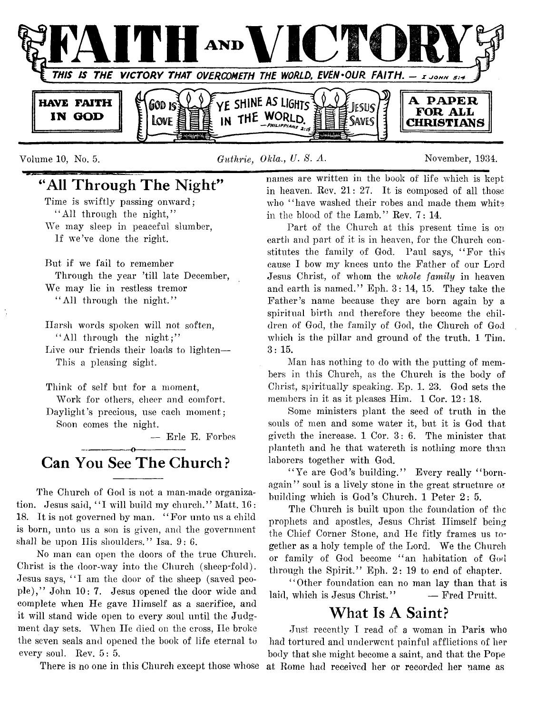

Volume 10, No. 5. *Guthrie. Okla., U. S. A.* November, 1934.

## **"All Through The Night"**

Time is swiftly passing onward; " All through the night," We may sleep in peaceful slumber, If we've done the right.

But if we fail to remember Through the year 'till late December, We may lie in restless tremor " All through the night."

Harsh words spoken will not soften, " All through the night;"

Live our friends their loads to lighten— This a pleasing sight.

Think of self but for a moment,

Work for others, cheer and comfort. Daylight's precious, use each moment: Soon comes the night.

— Erie E. Forbes

## ---------------- o ---------------- **Can You See The Church?**

The Church of God is not a man-made organization. Jesus said, "I will build my church." Matt. 16: 18. It is not governed by man. " For unto us a child is born, unto us a son is given, and the government shall be upon His shoulders." Isa. 9: 6.

No man can open the doors of the true Church. Christ is the door-way into the Church (sheep-fold). Jesus says, "I am the door of the sheep (saved people)," John 10: 7. Jesus opened the door wide and complete when He gave Himself as a sacrifice, and it will stand wide open to every soul until the Judgment day sets. When He died on the cross, He broke the seven seals and opened the book of life eternal to every soul. Rev. 5: 5.

names are written in the book of life which is kept in heaven. Rev. 21: 27. It is composed of all those who "have washed their robes and made them white in the blood of the Lamb." Rev.  $7:14$ .

Part of the Church at this present time is on earth and part of it is in heaven, for the Church constitutes the family of God. Paul says, " For this cause I bow my knees unto the Father of our Lord Jesus Christ, of whom the *whole family* in heaven and earth is named." Eph. 3: 14, 15. They take the Father's name because they are born again by a spiritual birth and therefore they become the children of God, the family of God, the Church of God which is the pillar and ground of the truth. 1 Tim.  $3:15.$ 

Man has nothing to do with the putting of members in this Church, as the Church is the body of Christ, spiritually speaking. Ep. 1. 23. God sets the members in it as it pleases Him. 1 Cor. 12: 18.

Some ministers plant the seed of truth in the souls of men and some water it, but it is God that giveth the increase. 1 Cor. 3: 6. The minister that planteth and he that watereth is nothing more than laborers together with God.

"Ye are God's building." Every really "bornagain" soul is a lively stone in the great structure *or* building which is God's Church. 1 Peter 2: 5.

The Church is built upon the foundation of the prophets and apostles, Jesus Christ Himself being the Chief Corner Stone, and He fitly frames us together as a holy temple of the Lord. We the Church or family of God become " an habitation of God through the Spirit." Eph. 2: 19 to end of chapter.

" Other foundation can no man lay than that is laid, which is Jesus Christ." - Fred Pruitt.

## **What Is A Saint?**

There is no one in this Church except those whose at Rome had received her or recorded her name asJust recently I read of a woman in Paris who had tortured and underwent painful afflictions of her body that she might become a saint, and that the Pope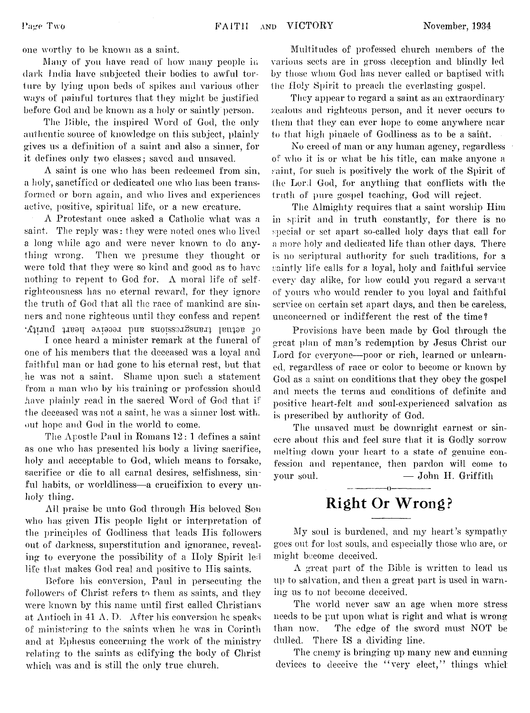one worthy to be known as a saint.

Many of yon have read of liow many people in dark India have subjected their bodies to awful torture by lying upon beds of spikes and various other ways of painful tortures that they might be justified before God and be known as a holy or saintly person.

The Bible, the inspired Word of God, the only authentic source of knowledge on this subject, plainly gives us a definition of a saint and also a sinner, for it defines only two classes; saved and unsaved.

A saint is one who has been redeemed from sin, a holy, sanctified or dedicated one who lias been transformed or born again, and who lives and experiences active, positive, spiritual life, or a new creature.

A Protestant once asked a Catholic what was a saint. The reply was: they were noted ones who lived a long while ago and were never known to do anything wrong. Then we presume they thought or were told that they were so kind and good as to have nothing to repent to God for.  $\Lambda$  moral life of selfrighteousness has no eternal reward, for they ignore the truth of God that all the race of mankind are sinners and none righteous until they confess and repent of sctual transgressions and receive heart purity.

I once heard a minister remark at the funeral of one of his members that the deceased was a loyal and faithful man or had gone to his eternal rest, but that lie was not a saint. Shame upon such a statement from a man who by his training or profession should have plainly read in the sacred Word of God that if the deceased was not a saint, he was a sinner lost with, out hope and God in the world to come.

The Apostle Paul in Romans 12: 1 defines a saint as one who has presented his body a living sacrifice, holy and acceptable to God, which means to forsake, sacrifice or die to all carnal desires, selfishness, sinful habits, or worldliness—a crucifixion to every unholy thing.

All praise be unto God through His beloved Sou who has given His people light or interpretation of the principles of Godliness that leads His followers out of darkness, superstitution and ignorance, revealing to everyone the possibility of a Holy Spirit led life that makes God real and positive to His saints.

Before his conversion, Paul in persecuting the followers of Christ refers to them as saints, and they were known by this name until first called Christians at Antioch in 41 A. D. After his conversion he speaks of ministering to the saints when he was in Corinth and at Ephesus concerning the work of the ministry relating to the saints as edifying the body of Christ which was and is still the only true church.

Multitudes of professed church members of the various sects are in gross deception and blindly led by those whom God lias never called or baptised with the Holy Spirit to preach the everlasting gospel.

They appear to regard a saint as an extraordinary zealous and righteous person, and it never occurs to them that they can ever hope to come anywhere near to that high pinacle of Godliness as to be a saint.

No creed of man or any human agency, regardless  $o^{\varepsilon}$  who it is or what be his title, can make anyone a saint, for such is positively the work of the Spirit of the Lord God, for anything that conflicts with the 1ruth of pure gospel teaching, God will reject.

The Almighty requires that a saint worship Him in spirit and in truth constantly, for there is no special or set apart so-called holy days that call for a more holy and dedicated life than other days. There is no scriptural authority for such traditions, for a saintly life calls for a loyal, holy and faithful service every day alike, for how could you regard a servant of yours who would render to you loyal and faithful service on certain set apart days, and then be careless, unconcerned or indifferent the rest of the time?

Provisions have been made by God through the great plan of man's redemption *by* Jesus Christ our Lord for everyone— poor or rich, learned or unlearned, regardless of race or color to become or known by God as a saint on conditions that they obey the gospel and meets the terms and conditions of definite and positive heart-felt and soul-experienced salvation as is prescribed by authority of God.

The unsaved must be downright earnest or sincere about this and feel sure that it is Godly sorrow melting down your heart to a state of genuine confession and repentance, then pardon will come to your soul. — John H. Griffith

## **-----------------o----------------- Right Or Wrong?**

My soul is burdened, and my heart's sympathy goes out for lost souls, and especially those who are, or might become deceived.

A great part of the Bible is written to lead us up to salvation, and then a great part is used in warning us to not become deceived.

The world never saw an age when more stress needs to be put upon what is right and what is wrong than now. The edge of the sword must NOT be dulled. There IS a dividing line.

The enemy is bringing up many new and cunning devices to deceive the "very elect," things which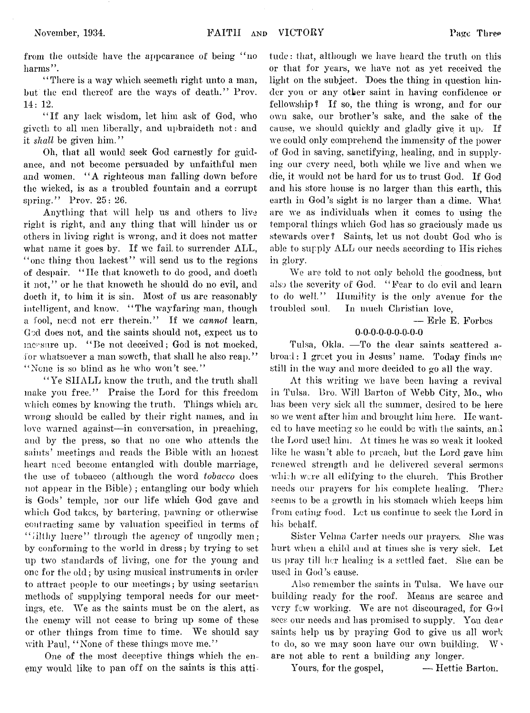from the outside have the appearance of being "no harms".

"There is a way which seemeth right unto a man, but the end thereof are the ways of death." Prov. 14: 12,

" If any lack wisdom, let him ask of God, who givctli to all men liberally, and upbraideth not: and it *shall* be given him."

Oh, that all would seek God earnestly for guidance, and not become persuaded by unfaithful men and women. "A righteous man falling down before the wicked, is as a troubled fountain and a corrupt spring." Prov. 25: 26.

Anything that will help us and others to live right is right, and any thing that will hinder us or others in living right is wrong, and it does not matter what name it goes by. If we fail to surrender ALL, " one thing thou lackest" will send us to the regions of despair. " He that knoweth to do good, and doeth it not," or he that knoweth he should do no evil, and doeth it, to him it is sin. Most of us are reasonably intelligent, and know. "The wayfaring man, though a fool, need not err therein." If we *cannot* learn, God does not, and the saints should not, expect us to measure up. "Be not deceived; God is not mocked, for whatsoever a man soweth, that shall he also reap." "None is so blind as he who won't see."

"Ye SHALL know the truth, and the truth shall make you free." Praise the Lord for this freedom which comes by knowing the truth. Things which are wrong should be called by their right names, and in love warned against—in conversation, in preaching, and by the press, so that no one who attends the saints' meetings and reads the Bible with an honest heart need become entangled with double marriage, the use of tobacco (although the word *tobacco* does not appear in the Bible) ; entangling our body which is Gods' temple, nor our life which God gave and which God takes, by bartering, pawning or otherwise contracting same by valuation specified in terms of "iilthy lucre" through the agency of ungodly men; by conforming to the world in dress; by trying to set up two standards of living, one for the young and one for the old; by using musical instruments in order to attract people to our meetings; by using sectarian methods of supplying temporal needs for our meetings, etc. We as the saints must be on the alert, as the enemy will not cease to bring up some of these or other things from time to time. We should say with Paul, "None of these things move me."

One of the most deceptive things which the enemy would like to pan off on the saints is this attitude : that, although we have heard the truth on this or that for years, we have not as yet received the light on the subject. Does the thing in question hinder you or any other saint in having confidence or fellowship? If so, the thing is wrong, and for our own sake, our brother's sake, and the sake of the cause, we should quickly and gladly give it up. If we could only comprehend the immensity of the power of God in saving, sanctifying, healing, and in supplying our every need, both while we live and when we die, it would not be hard for us to trust God. If God and his store house is no larger than this earth, this earth in God's sight is no larger than a dime. What are we as individuals when it comes to using the temporal things which God has so graciously made us stewards over? Saints, let us not doubt God who is able to supply ALL our needs according to His riches in glory.

We are told to not only behold the goodness, but also the severity of God. " Fear to do evil and learn to do well." Humility is the only avenue for the troubled soul. In much Christian love,

— Erie E. Forbes

#### **0**- **0**- **0**- **0**- **0**- **0**- **0**- **0-0**

Tulsa, Okla. — To the dear saints scattered abroad: 1 greet you in Jesus' name. Today finds me still in the way and more decided to go all the way.

At this writing we have been having a revival in Tulsa. Bro. Will Barton of Webb City, Mo., who has been very sick all the summer, desired to be here so we went after him and brought him here. He wanted to have meeting so he could be with the saints, and the Lord used him. At times he was so weak it looked like he wasn't able to preach, but the Lord gave him renewed strength and he delivered several sermons •which were all edifying to the church. This Brother needs our prayers for his complete healing. There seems to be a growth in his stomach which keeps him from eating food. Let us continue to seek the Lord in his behalf.

Sister Velma Carter needs our prayers. She was hurt when a child and at times she is very sick. Let us pray till her healing is a settled fact. She can be used in God's cause.

Also remember the saints in Tulsa. We have our building ready for the roof. Means are scarce and very few working. We are not discouraged, for God sees our needs and has promised to supply. You dear saints help us by praying God to give us all work to do, so we may soon have our own building. W. are not able to rent a building any longer.

Yours, for the gospel,  $-\blacksquare$  Hettie Barton.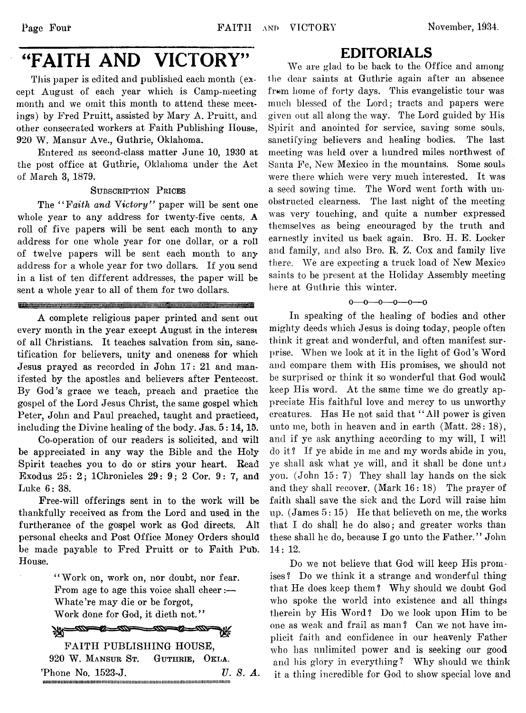## "FAITH AND VICTORY"

This paper is edited and published each month (except August of each year which is Camp-meeting month and we omit this month to attend these meetings) by Fred Pruitt, assisted by Mary A. Pruitt, and other consecrated workers at Faith Publishing House, 920 W. Mansur Ave., Guthrie, Oklahoma.

Entered as second-class matter June 10, 1930 at the post office at Guthrie, Oklahoma under the Act of March 3, 1879.

#### SUBSCRIPTION PRICES

The *" Faith and Victory"* paper will be sent one whole year to any address for twenty-five cents. A roll of five papers will be sent each month to any address for one whole year for one dollar, or a roll of twelve papers will be sent each month to any address for a whole year for two dollars. If you send in a list of ten different addresses, the paper will be sent a whole year to all of them for two dollars.

#### **Michard Communist Communisties**

A complete religious paper printed and sent out every month in the year except August in the interest of all Christians. It teaches salvation from sin, sanctification for believers, unity and oneness for which Jesus prayed as recorded in John 17: 21 and manifested by the apostles and believers after Pentecost. By God's grace we teach, preach and practice the gospel of the Lord Jesus Christ, the same gospel which Peter, John and Paul preached, taught and practiced, including the Divine healing of the body. Jas. 5:14,15.

Co-operation of our readers is solicited, and will be appreciated in any way the Bible and the Holy Spirit teaches you to do or stirs your heart. Read Exodus 25: 2; IChronicles 29: 9; 2 Cor. 9: 7, and Luke 6: 38.

Free-will offerings sent in to the work will be thankfully received as from the Lord and used in the furtherance of the gospel work as God directs. All personal checks and Post Office Money Orders should be made payable to Fred Pruitt or to Faith Pub. House.

> " Work on, work on, nor doubt, nor fear. From age to age this voice shall cheer:— Whate're may die or be forgot, Work done for God, it dieth not."

<u>The altres and the contract of the contract of the contract of the contract of the contract of the contract of the contract of the contract of the contract of the contract of the contract of the contract of the contract o</u> **AX**w

FAITH PUBLISHING HOUSE, 920 W. Mansur St. Guthrie, Okla. 'Phone No. 1523-J. *V. 8. A.* .................................... .

## EDITORIALS

We are glad to be back to the Office and among the dear saints at Guthrie again after an absence from home of forty days. This evangelistic tour was much blessed of the Lord; tracts and papers were given out all along the way. The Lord guided by His Spirit and anointed for service, saving some souls, sanctifying believers and healing bodies. The last meeting was held over a hundred miles northwest of Santa Fe, New Mexico in the mountains. Some souls were there which were very much interested. It was a seed sowing time. The Word went forth with unobstructed clearness. The last night of the meeting, was very touching, and quite a number expressed themselves as being encouraged by the truth and earnestly invited us back again. Bro. H. E. Locker and family, and also Bro. R. Z. Cox and family live there. We are expecting a truck load of New Mexico saints to be present at the Holiday Assembly meeting here at Guthrie this winter.

### $0 - 0 - 0 - 0 - 0 - 0$

In speaking of the healing of bodies and other mighty deeds which Jesus is doing today, people often think it great and wonderful, and often manifest surprise. When we look at it in the light of God's Word and compare them with His promises, we should not be surprised or think it so wonderful that God would keep His word. At the same time we do greatly appreciate His faithful love and mercy to us unworthy creatures. Has He not said that " All power is given unto me, both in heaven and in earth (Matt. 28: 18), and if ye ask anything according to my will, I will do it ? If ye abide in me and my words abide in you, ye shall ask what ye will, and it shall be done untj you. (John 15: 7) They shall lay hands on the sick and they shall recover.  $(Mark 16:18)$  The prayer of faith shall save the sick and the Lord will raise him up. (James 5:15) He that believeth on me, the works that I do shall he do also; and greater works than these shall he do, because I go unto the Father." John 14: 12.

Do we not believe that God will keep His promises ? Do we think it a strange and wonderful thing that He does keep them ? Why should we doubt God who spoke the world into existence and all things therein by His Word? Do we look upon Him to be one as weak and frail as man? Can we not have implicit faith and confidence in our heavenly Father who has unlimited power and is seeking our good and his glory in everything? Why should we think it a thing incredible for God to show special love and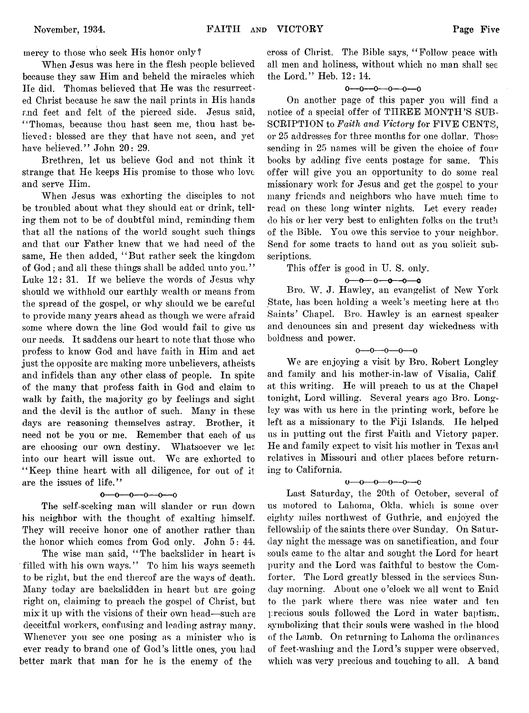mercy to those who seek His honor only?

When Jesus was here in the flesh people believed because they saw Him and beheld the miracles which IIe did. Thomas believed that He was the resurrected Christ because he saw the nail prints in His hands and feet and felt of the pierced side. Jesus said, " Thomas, because thou hast seen me, thou hast believed : blessed are they that have not seen, and yet have believed." John 20: 29.

Brethren, let us believe God and not think it strange that He keeps His promise to those who love and serve Him.

When Jesus was exhorting the disciples to not be troubled about what they should eat or drink, telling them not to be of doubtful mind, reminding them that all the nations of the world sought such things and that our Father knew that we had need of the same, He then added, " But rather seek the kingdom of God; and all these things shall be added unto you." Luke 12: 31. If we believe the words of Jesus why should we withhold our earthly wealth or means from the spread of the gospel, or why should we be careful to provide many years ahead as though we were afraid some where down the line God would fail to give us our needs. It saddens our heart to note that those who profess to know God and have faith in Him and act just the opposite arc making more unbelievers, atheists and infidels than any other class of people. In spite of the many that profess faith in God and claim to walk by faith, the majority go by feelings and sight and the devil is the author of such. Many in these days are reasoning themselves astray. Brother, it need not be you or me. Remember that each of us are choosing our own destiny. Whatsoever we let into our heart will issue out. We are exhorted to " Keep thine heart with all diligence, for out of it are the issues of life."

#### $0 - 0 - 0 - 0 - 0 - 0$

The self-seeking man will slander or run down his neighbor with the thought of exalting himself. They will receive honor one of another rather than the honor which comes from God only. John 5: 44.

The wise man said, "The backslider in heart is filled with his own ways." To him his ways seemeth to be right, but the end thereof are the ways of death. Many today are backslidden in heart but are going right on, claiming to preach the gospel of Christ, but mix it up with the visions of their own head— such are deceitful workers, confusing and leading astray many. Whenever you see one posing as a minister who is ever ready to brand one of God's little ones, you had better mark that man for he is the enemy of the

cross of Christ. The Bible says, " Follow peace with all men and holiness, without which no man shall see the Lord." Heb. 12: 14.

### $0 - 0 - 0 - 0 - 0 - 0$

On another page of this paper you will find a notice of a special offer of THREE MONTH'S SUB-SCRIPTION to *Faith and Victory* for FIVE CENTS, or 25 addresses for three months for one dollar. Those sending in 25 names will be given the choice of four books by adding five cents postage for same. This offer will give you an opportunity to do some real missionary work for Jesus and get the gospel to your\* many friends and neighbors who have much time to read on these long winter nights. Let every readei do his or her very best to enlighten folks on the truth of the Bible. You owe this service to your neighbor. Send for some tracts to hand out as you solicit subscriptions.

This offer is good in U. S. only.

#### $0 - 0 - 0 - 0 - 0$

Bro. W. J. Hawley, an evangelist of New York State, has been holding a week's meeting here at the Saints' Chapel. Bro. Hawley is an earnest speaker and denounces sin and present day wickedness with boldness and power.

 $0 - 0 - 0 - 0 - 0$ 

We are enjoying a visit by Bro. Robert Longley and family and his mother-in-law of Visalia, Calif at this writing. He will preach to us at the Chapel tonight, Lord willing. Several years ago Bro. Longley was with us here in the printing work, before he left as a missionary to the Fiji Islands. lie helped us in putting out the first Faith and Victory paper. He and family expect to visit his mother in Texas and relatives in Missouri and other places before returning to California.

#### $0$  — 0 — 0 — 0 — 0 — 0

Last Saturday, the 20th of October, several of us motored to Lahoma, Okla. which is some over eighty miles northwest of Guthrie, and enjoyed the fellowship of the saints there over Sunday. On Saturday night the message was on sanctification, and four souls came to the altar and sought the Lord for heart purity and the Lord was faithful to bestow the Comforter. The Lord greatly blessed in the services Sunday morning. About one o 'clock we all went to Enid to the park where there was nice water and ten precious souls followed the Lord in water baptism, symbolizing that their souls were washed in the blood of the Lamb. On returning to Lahoma the ordinances of feet-wasliing and the Lord's supper were observed, which was very precious and touching to all. A band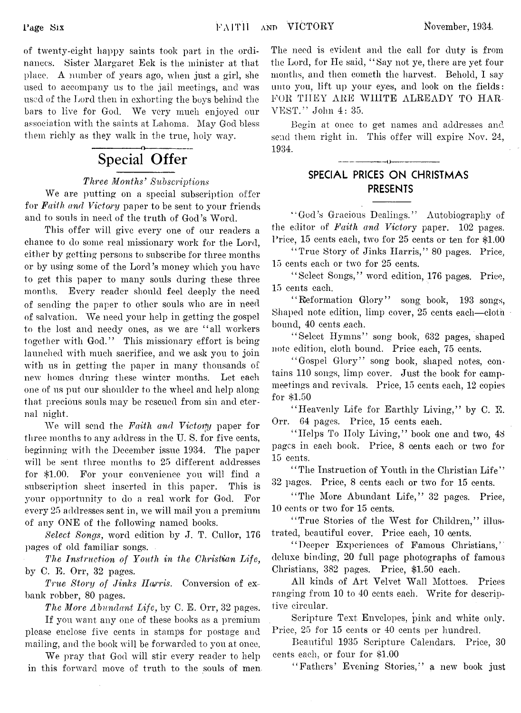of twenty-eight happy saints took part in the ordinances. Sister Margaret Eck is the minister at that place. A number of years ago, when just a girl, she used to accompany us to the jail meetings, and was used of the Lord then in exhorting the boys behind the bars to live for God. We very much enjoyed our association with the saints at Lahoma. May God bless them richly as they walk in the true, holy way.

## **Special Offer**

## *Three Months' Subscriptions*

We are putting on a special subscription offer for *Faith and Victory* paper to be sent to your friends and to souls in need of the truth of God's Word.

This offer will give every one of our readers a chance to do some real missionary work for the Lord, either by getting persons to subscribe for three months or by using some of the Lord's money which you have to get this paper to many souls during these three months. Every reader should feel deeply the need of sending the paper to other souls who are in need of salvation. We need your help in getting the gospel to the lost and needy ones, as we are " all workers together with God." This missionary effort is being launched with much sacrifice, and we ask you to join with us in getting the paper in many thousands of new homes during these winter months. Let each one of us put our shoulder to the wheel and help along that precious souls may be rescued from sin and eternal night.

We will send the *Faith and Victory* paper for three months to any address in the U. S. for five cents, beginning with the December issue 1934. The paper will be sent three months to 25 different addresses for \$1.00. For your convenience you will find a subscription sheet inserted in this paper. This is your opportunity to do a real work for God. For every 25 addresses sent in, we will mail you a premium of any ONE of the following named books.

*Select Songs, word edition by J. T. Cullor, 176* pages of old familiar songs.

*The Instruction of Youth in the Christian Life,* by C. E. Orr, 32 pages.

*True Story of Jinks Harris.* Conversion of exbank robber, 80 pages.

*The More Abundant Life,* by C. E. Orr, 32 pages.

If you want any one of these books as a premium please enclose five cents in stamps for postage and mailing, and the book will be forwarded to you at once.

We pray that God will stir every reader to help in this forward move of truth to the souls of men The need is evident and the call for duty is from the Lord, for He said, " Say not ye, there are yet four months, and then cometh the harvest. Behold, I say unto you, lift up your eyes, and look on the fields: FOR THEY ARE WILITE ALREADY TO HAR-VEST." John 4: 35.

Begin at once to get names and addresses and send them right in. This offer will expire Nov. 24, 1934.

------------ ()------------

## **SPECIAL PRICES ON CHRISTMAS PRESENTS**

" God's Gracious Dealings." Autobiography of the editor of *Faith and Victory* paper. 102 pages. Price, 15 cents each, two for 25 cents or ten for \$1.00

"True Story of Jinks Harris," 80 pages. Price, 15 cents each or two for 25 cents.

" Select Songs," word edition, 176 pages. Price, 15 cents each.

" Reformation Glory" song book, 193 songs, Shaped note edition, limp cover, 25 cents each—cloth bound, 40 cents each.

" Select Hymns" song book, 632 pages, shaped note edition, cloth bound. Price each, 75 cents.

" Gospel Glory" song book, shaped notes, contains 110 songs, limp cover. Just the book for campmeetings and revivals. Price, 15 cents each, 12 copies for \$1.50

" Heavenly Life for Earthly Living," by C. E. Orr. 64 pages. Price, 15 cents each.

"Helps To Holy Living," book one and two, 48 pages in each book. Price, 8 cents each or two for 15 cents.

"The Instruction of Youth in the Christian Life" 32 pages. Price, 8 cents each or two for 15 cents.

"The More Abundant Life," 32 pages. Price, 10 cents or two for 15 cents.

" True Stories of the West for Children," illustrated, beautiful cover. Price each, 10 cents.

' ' Deeper Experiences of Famous Christians, ' deluxe binding, 20 full page photographs of famous Christians, 382 pages. Price, \$1.50 each.

All kinds of Art Velvet Wall Mottoes. Prices ranging from 10 to 40 cents each. Write for descriptive circular.

Scripture Text Envelopes, pink and white only. Price, 25 for 15 cents or 40 cents per hundred.

Beautiful 1935 Scripture Calendars. Price, 30 cents each, or four for \$1.00

" Fathers' Evening Stories," a new book just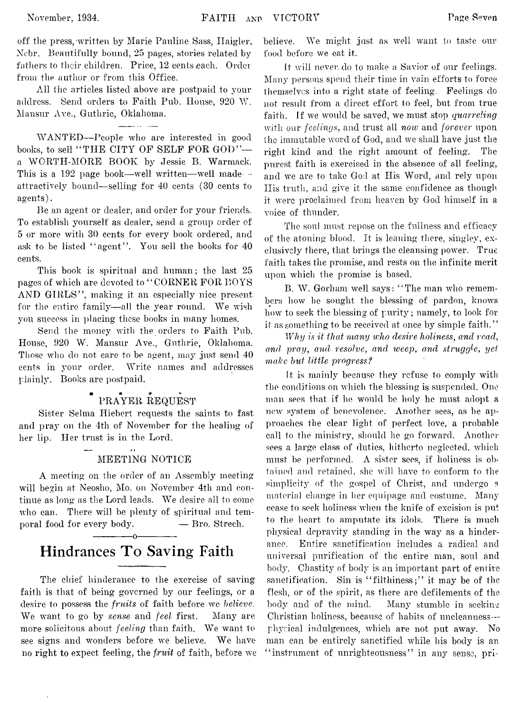off the press,'written by Marie Pauline Sass, Ilaigler, Ncbr. Beautifully bound, 25 pages, stories related by fathers to their children. Price, 12 cents each. Order from the author, or from this Office.

All the articles listed above are postpaid to your address. Send orders to Faith Pub. House, 920 W. Mansur Ave., Guthrie, Oklahoma.

WANTED— People who are interested in good books, to sell "THE CITY OF SELF FOR GOD"-a WORTH-MORE BOOK by Jessie B. Warmaek. This is a 192 page book—well written—well made attractively bound— selling for 40 cents (30 cents to agents).

Be an agent or dealer, and order for your friends. To establish yourself as dealer, send a group order of 5 or more with 30 cents for every book ordered, and ask to be listed "agent". You sell the books for 40 cents.

This book is spiritual and human; the last 25. pages of which are devoted to " CORNER FOR BOYS AND GIRLS", making it an especially nice present for the entire family—all the year round. We wish you success in placing these books in many homes.

Send the money with the orders to Faith Pub. House, 920 W. Mansur Ave., Guthrie, Oklahoma. Those who do not care to be agent, may just send 40 cents in your order. Write names and addresses plainly. Books are postpaid.

## PRAYER REQUEST

Sister Selma Iliebert requests the saints to fast and pray on the 4th of November for the healing of her lip. Her trust is in the Lord.

## MEETING NOTICE

A meeting on the order of an Assembly meeting will begin at Neosho, Mo. on November 4th and continue as long as the Lord leads. We desire all to come who can. There will be plenty of spiritual and temporal food for every body.  $\qquad -$  Bro. Strech.

## ------------- o------------- **Hindrances To Saving Faith**

The chief hinderanee to the exercise of saving faith is that of being governed by our feelings, or a desire to possess the *fruits* of faith before we *believe.* We want to go by *sense* and *feel* first. Many are more solicitous about *feeling* than faith. We want to see signs and wonders before we believe. We have no right to expect feeling, the *fruit* of faith, before we

believe. We might just as well want to taste our food before we eat it.

It will never, do to make a Savior of our feelings. Many persons spend their time in vain efforts to force themselves into a right state of feeling. Feelings do not result from a direct effort to feel, but from true faith. If we would be saved, we must stop *quarreling* with our *feelings,* and trust all *now* and *forever* upon the immutable word of God, and we shall have just the right kind and the right amount of feeling. The purest faith is exercised in the absence of all feeling, and we are to take God at His Word, and rely upon Ilis truth, and give it the same confidence as though, it were proclaimed from heaven by God himself in a voice of thunder.

The soul must repose on the fullness and efficacy of the atoning blood. It is leaning there, singlev, exclusively there, that brings the cleansing power. True faith takes the promise, and rests on the infinite merit upon which the promise is based.

B. W. Gorham well says: " The man who remembers how he sought the blessing of pardon, knows how to seek the blessing of purity; namely, to look for it as something to be received at once by simple faith."

*Why is it that many who desire holiness, anal read, and pray, and resolve, and, weep*, *and struggle, yet make but little progress f*

It is mainly because they refuse to comply with the conditions on which the blessing is suspended. One man sees that if he would be holy he must adopt a new system of benevolence. Another sees, as he approaches the clear light, of perfect love, a probable call to the ministry, should he go forward. Another sees a large class of duties, hitherto neglected, which must be performed.  $\Lambda$  sister sees, if holiness is obtained and retained, she will have to conform to the simplicity of the gospel of Christ, and undergo a material change in her equipage and costume. Many cease to seek holiness when the knife of excision is put to the heart to amputate its idols. There is much physical depravity standing in the way as a hinderanee. Entire sanctification includes a radical and universal purification of the entire man, soul and body. Chastity of body is an important part of entire sanctification. Sin is "filthiness;" it may be of the flesh, or of the spirit, as there are defilements of the body and of the mind. Many stumble in seeking Christian holiness, because of habits of uncleanness physical indulgences, which are not put away. No man can be entirely sanctified while his body is an "instrument of unrighteousness" in any sense, pri-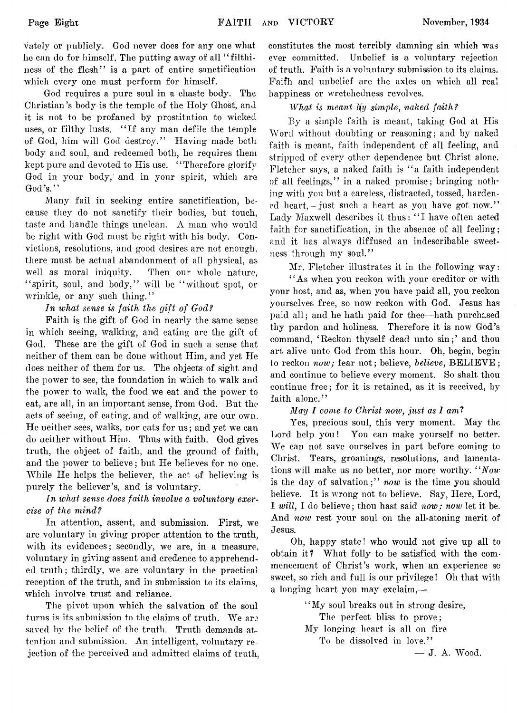vately or publicly. God never does for any one what he can do for himself. The putting away of all "filthiness of the flesh" is a part of entire sanctification which every one must perform for himself.

God requires a pure soul in a chaste body. The Christian's body is the temple of the Holy Ghost, and it is not to be profaned by prostitution to wicked uses, or filthy lusts. "If any man defile the temple of God, him will God destroy." Having made both body and soul, and redeemed both, he requires them kept pure and devoted to His use. " Therefore glorify God in your body, and in your spirit, which are God's."

Many fail in seeking entire sanctification, because they do not sanctify their bodies, but touch, taste and handle things unclean.  $\Lambda$  man who would be right with God must be right with his body. Convictions, resolutions, and good desires are not enough, there must be actual abandonment of all physical, as well as moral iniquity. Then our whole nature, "spirit, soul, and body," will be "without spot, or wrinkle, or any such thing."

## In what sense is faith the gift of God?

Faith is the gift of God in nearly the same sense in which seeing, walking, and eating are the gift of God. These are the gift of God in such a sense that neither of them can be done without Him, and yet He does neither of them for us. The objects of sight and the power to see, the foundation in which to walk and the power to walk, the food we eat and the power to eat, are all, in an important sense, from God. But the acts of seeing, of eating, and of walking, are our own. He neither sees, walks, nor eats for us; and yet we can do neither without Him, Thus with faith. God gives truth, the object of faith, and the ground of faith, and the power to believe; but He believes for no one. While He helps the believer, the act of believing is purely the believer's, and is voluntary.

## *In ivliat sense does faith involve a voluntary exercise of the mindf*

In attention, assent, and submission. First, we are voluntary in giving proper attention to the truth, with its evidences; secondly, we are, in a measure, voluntary in giving assent and credence to apprehended truth; thirdly, we are voluntary in the practical reception of the truth, and in submission to its claims, which involve trust and reliance.

The pivot upon which the salvation of the soul turns is its submission to the claims of truth. We are saved by the belief of the truth. Truth demands attention and submission. An intelligent, voluntary rejection of the perceived and admitted claims of truth,

constitutes the most terribly damning sin which was ever committed. Unbelief is a voluntary rejection of truth. Faith is a voluntary submission to its claims. Faifh and unbelief are the axles on which all real happiness or wretchedness revolves.

## *What is meant by simple, naked faith?*

By a simple faith is meant, taking God at His Word without doubting or reasoning; and by naked faith is meant, faith independent of all feeling, and stripped of every other dependence but Christ alone. Fletcher says, a naked faith is " a faith independent of all feelings," in a naked promise; bringing nothing with you but a careless, distracted, tossed, hardened heart,— just such a heart as you have got now." Lady Maxwell describes it thus: " I have often acted faith for sanctification, in the absence of all feeling; and it has always diffused an indescribable sweetness through my soul."

Mr. Fletcher illustrates it in the following way:

' ' As when you reckon with your creditor or with your host, and as, when you have paid all, you reckon yourselves free, so now reckon with God. Jesus has paid all; and he hath paid for thee—hath purchased thy pardon and holiness. Therefore it is now God's command, 4Reckon thyself dead unto sin;' and thou art alive unto God from this hour. Oh, begin, begin to reckon *now*; fear not; believe, *believe*, **BELIEVE**; and continue to believe every moment. So shalt thou continue free; for it is retained, as it is received, by faith alone."

*May I come to Christ now, just as I am?*

Yes, precious soul, this very moment. May the Lord help you! You can make yourself no better. We can not save ourselves in part before coming to Christ. Tears, groanings, resolutions, and lamentations will make us no better, nor more worthy. " *Now* is the day of salvation;" *now* is the time you should believe. It is wrong not to believe. Say, Here, Lord, I *will,* I do believe; thou hast said *now; now* let it be. And *now* rest your soul on the all-atoning merit of Jesus.

Oh, happy state! who would not give up all to obtain it? What folly to be satisfied with the commencement of Christ's work, when an experience so sweet, so rich and full is our privilege! Oh that with a longing heart you may exclaim,—

> ' ' My soul breaks out in strong desire, The perfect bliss to prove; My longing heart is all on fire To be dissolved in love."

— J. A. Wood.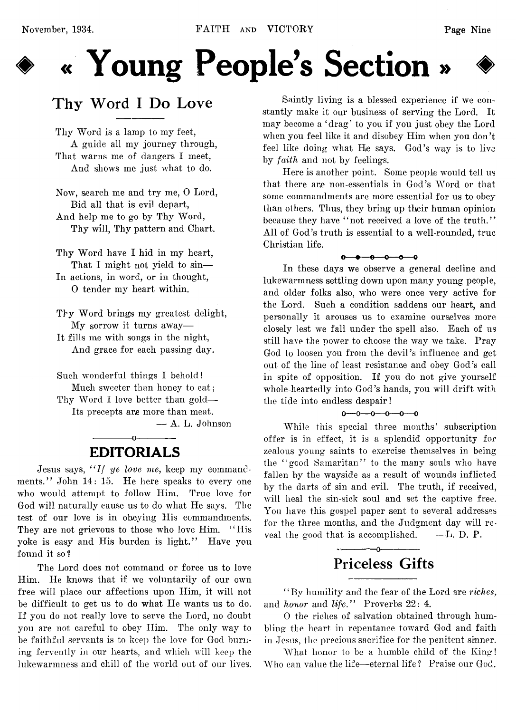

# **♦ « Young People's Section » ♦**

## **Thy Word I Do Love**

Thy Word is a lamp to my feet, A guide all my journey through, That warns me of dangers I meet, And shows me just what to do.

Now, search me and try me, 0 Lord, Bid all that is evil depart, And help me to go by Thy Word, Thy will, Thy pattern and Chart.

Thy Word have I hid in my heart, That I might not yield to sin-In actions, in word, or in thought, 0 tender my heart within.

Thy Word brings my greatest delight, My sorrow it turns away— It fills me with songs in the night, And grace for each passing day.

Such wonderful things I behold! Much sweeter than honey to eat; Thy Word I love better than gold— Its precepts are more than meat.

— A. L. Johnson

## ------------- o------------- EDITORIALS

Jesus says, *" If ye love me,* keep my commandments." John 14: 15. He here speaks to every one who would attempt to follow Him. True love for God will naturally cause us to do what He says. The test of our love is in obeying His commandments. They are not grievous to those who love Him. "His yoke is easy and His burden is light." Have you found it so?

The Lord does not command or force us to love Him. He knows that if we voluntarily of our own free will place our affections upon Him, it will not be difficult to get us to do what He wants us to do. If you do not really love to serve the Lord, no doubt you are not careful to obey Him. The only way to be faithful servants is to keep the love for God burning fervently in our hearts, and which will keep the lukewarmness and chill of the world out of our lives.

Saintly living is a blessed experience if we constantly make it our business of serving the Lord. It may become a 'drag' to you if you just obey the Lord when you feel like it and disobey Him when you don't feel like doing what He says. God's way is to live by *faith* and not by feelings.

Here is another point. Some people would tell us that there are non-essentials in God's Word or that some commandments are more essential for us to obey than others. Thus, they bring up their human opinion because they have "not received a love of the truth." All of God's truth is essential to a well-rounded, true Christian life.

 $0 - 0 - 0 - 0 - 0$ 

In these days we observe a general decline and lukewarmness settling down upon many young people, and older folks also, who were once very active for the Lord. Such a condition saddens our heart, and personally it arouses us to examine ourselves more closely lest we fall under the spell also. Each of us still have the power to choose the way we take. Pray God to loosen you from the devil's influence and get out of the line of least resistance and obey God's call in spite of opposition. If you do not give yourself whole-heartedly into God's hands, you will drift with the tide into endless despair!

 $0 - 0 - 0 - 0 - 0$ 

While this special three months' subscription offer is in effect, it is a splendid opportunity for zealous young saints to exercise themselves in being the " good Samaritan" to the many souls who have fallen by the wayside as a result of wounds inflicted by the darts of sin and evil. The truth, if received, will heal the sin-sick soul and set the captive free. You have this gospel paper sent to several addresses for the three months, and the Judgment day will reveal the good that is accomplished.  $-*L*$ . D. P.

## **Priceless Gifts**

------------- o-------------

" By humility and the fear of the Lord are *riches,* and *honor* and *life.*" Proverbs 22: 4.

0 the riches of salvation obtained through humbling the heart in repentance toward God and faith in Jesus, the precious sacrifice for the penitent sinner.

What honor to be a humble child of the King! Who can value the life— eternal life? Praise our God.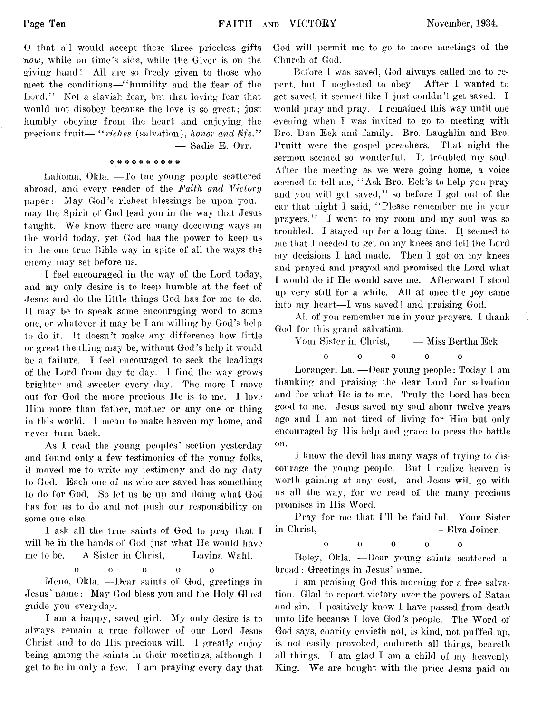0 that all would accept these three priceless gifts *now,* while on time's side, while the Giver is on the giving hand ! All are so freely given to those who meet the conditions—" humility and the fear of the Lord." Not a slavish fear, but that loving fear that would not disobey because the love is so great; just humbly obeying from the heart and enjoying, the precious fruit— "riches (salvation), honor and life."

— Sadie E. Orr.

## ft\*##\*\*\*#\*#

Lahoma, Okla. — To the young people scattered abroad, and every reader of the *Faith and Victory* paper: May God's richest blessings be upon you, may the Spirit of God lead you in the way that Jesus taught. We know there are many deceiving ways in the world today, yet God has the power to keep us in the one true Bible way in spite of all the ways the enemy may set before us.

I feel encouraged in the way of the Lord today, and my only desire is to keep humble at the feet of Jesus and do the little things God has for me to do. It may be to speak some encouraging word to some one, or whatever it may be I am willing by God's help to do it. It doesn't make any difference how little or great the thing may be, without God's help it would be a failure. I feel encouraged to seek the leadings of the Lord from day to day. I find the way grows brighter and sweeter every day. The more I move out for God the more precious He is to me. I love Him more than father, mother or any one or thing\* in this world. I mean to make heaven my home, and never turn back.

As I read the young peoples' section yesterday and found only a few testimonies of the young folks, it moved me to write my testimony and do my duty to God. Each one of us who are saved has something to do for God. So let us be up and doing what God lias for us to do and not push our responsibility on some one else.

I ask all the true saints of God to pray that I in Christ, will be in the hands of God just what He would have me to be. A Sister in Christ, — Lavina Wahl,

> ooooo  $\Omega$

Meno, Okla. — Dear saints of God, greetings in Jesus' name: May God bless you and the Holy Ghost guide you everyday.

I am a happy, saved girl. My only desire is to always remain a true follower of our Lord Jesus Christ and to do His precious will. I greatly enjoy being among the saints in their meetings, although I get to be in only a few. I am praying every day that

God will permit me to go to more meetings of the Church of God.

Before I was saved, God always called me to repent, but I neglected to obey. After I wanted to get saved, it seemed like I just couldn't get saved. I would pray and pray. I remained this way until one evening when I was invited to go to meeting with Bro. Dan Eck and family. Bro. Laughlin and Bro. Pruitt were the gospel preachers. That night the sermon seemed so wonderful. It troubled my soul. After the meeting as we were going home, a voice seemed to tell me, " Ask Bro. Eck's to help you pray and you will get saved," so before I got out of the ear that night I said, " Please remember me in your prayers." I went to my room and my soul was so troubled. I stayed up for a long time. It seemed to me that I needed to get on my knees and tell the Lord my decisions I had made. Then I got on my knees and prayed and prayed and promised the Lord what I would do if He would save me. Afterward I stood up very still for a while. All at once the joy came into my heart—I was saved! and praising God.

All of you remember me in your prayers. I thank God for this grand salvation.

Your Sister in Christ, — Miss Bertha Eck.

ò ooooo

Loranger, La. — Dear young people: Today I am thanking and praising the dear Lord for salvation and for what He is to me. Truly the Lord has been good to me. Jesus saved my soul about twelve years ago and I am not tired of living for Him but only encouraged by His help and grace to press the battle on.

I know the devil lias many ways of trying to discourage the young people. But I realize heaven is worth gaining at any cost, and Jesus will go with us all the way, for we read of the many precious promises in His Word.

Pray for me that I'll be faithful. Your Sister — Elva Joiner.

$$
0 \qquad \qquad 0 \qquad \qquad 0 \qquad \qquad 0 \qquad \qquad 0
$$

Bo ley, Okla. — Dear young saints scattered abroad: Greetings in Jesus' name.

I am praising God this morning for a free salvation. Glad to report victory over the powers of Satan and sin. I positively know I have passed from death unto life because I love God's people. The Word of God says, charity envieth not, is kind, not puffed up, is not easily provoked, endureth all things, beareth all things. I am glad I am a child of my heavenly King. We are bought with the price Jesus paid on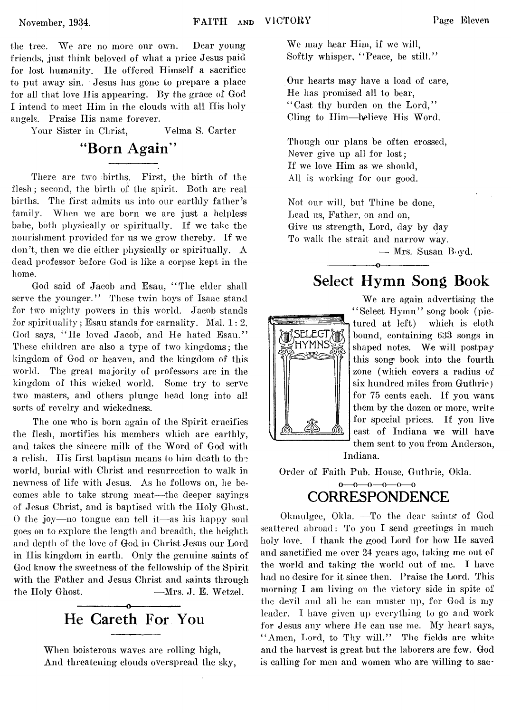the tree. We are no more our own. Dear young friends, just think beloved of what a price Jesus paid for lost humanity. He offered Himself a sacrifice to put away sin. Jesus has gone to prepare a place for all that love Ilis appearing. By the grace of God I intend to meet Him in the clouds with all His holy angels. Praise His name forever.

Your Sister in Christ, Velma S. Carter

## **"Born Again"**

There are two births. First, the birth of the flesh; second, the birth of the spirit. Both are real births. The first admits us into our earthly father's family. When we are born we are just a helpless babe, both physically or spiritually. If we take the nourishment provided for us we grow thereby. If we don't, then we die either physically or spiritually. A dead professor before God is like a corpse kept in the home.

God said of Jacob and Esau, " The elder shall serve the younger." These twin boys of Isaac stand for two mighty powers in this world. Jacob stands for spirituality; Esau stands for carnality. Mal.  $1:2$ . God says, " He loved Jacob, and He hated Esau." These children are also a type of two kingdoms; the kingdom of God or heaven, and the kingdom of this world. The great majority of professors are in the kingdom of this wicked world. Some try to serve two masters, and others plunge head long into all sorts of revelry and wickedness.

The one who is born again of the Spirit crucifies the flesh, mortifies his members which are earthly, and takes the sincere milk of the Word of God with a relish. Ilis first baptism means to him death to the world, burial with Christ and resurrection to walk in newness of life with Jesus. As he follows on, he becomes able to take strong meat— the deeper sayings of Jesus Christ, and is baptised with the Holy Ghost. 0 the joy— no tongue can tell it— as his happy soul goes on to explore the length and breadth, the heighth and depth of the love of God in Christ Jesus our Lord in His kingdom in earth. Only the genuine saints of God know the sweetness of the fellowship of the Spirit with the Father and Jesus Christ and saints through the Holy Ghost.  $-Mrs. J. E. Wetzel.$ 

> -----------------o ■ -..- **He Careth For You**

When boisterous waves are rolling high, And threatening clouds overspread the sky, We may hear Him, if we will, Softly whisper, "Peace, be still."

Our hearts may have a load of care, He has promised all to bear, " Cast thy burden on the Lord," Cling to Him—believe His Word.

Though our plans be often crossed, Never give up all for lost; If we love Him as we should, All is working for our good.

Not our will, but Thine be done, Lead us, Father, on and on, Give us strength, Lord, day by day To walk the strait and narrow way.

---------------- o----------------

— Mrs. Susan Boyd.

## **Select Hymn Song Book**



We are again advertising the " Select Hymn" song book (pictured at left) which is cloth bound, containing 633 songs in shaped notes. We will postpay this song\* book into the fourth zone (which covers a radius of six hundred miles from Guthrie) for 75 cents each. If you want them by the dozen or more, write for special prices. If you live east of Indiana we will have them sent to you from Anderson, Indiana.

Order of Faith Pub. House, Guthrie, Okla.

## o—o—o—o—o—o **CORRESPONDENCE**

Okmulgee, Okla. — To the dear saints' of God scattered abroad: To you I send greetings in much holy love. I thank the good Lord for how He saved and sanctified me over 24 years ago, taking me out of the world and taking the world out of me. I have had no desire for it since then. Praise the Lord. This morning I am living on the victory side in spite of the devil and all he can muster up, for God is my leader. I have given up everything to go and work for Jesus any where He can use me. My heart says, "Amen, Lord, to Thy will." The fields are white and the harvest is great but the laborers are few. God is calling for men and women who are willing to sac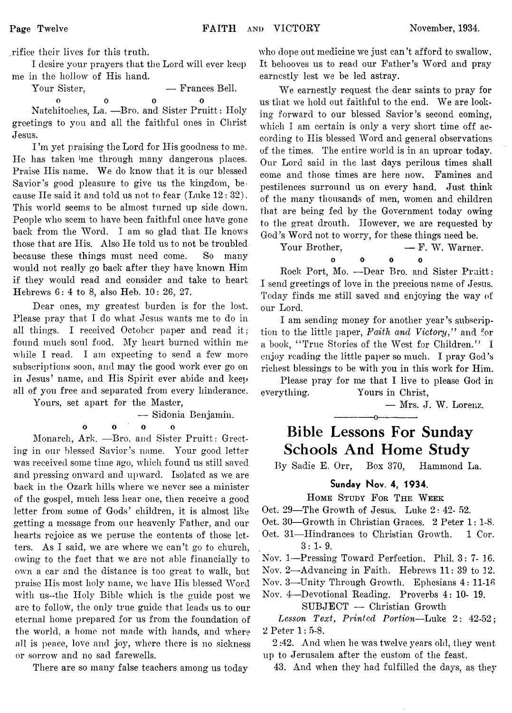,rifice their lives for this truth.

I desire your prayers that the Lord will ever keep me in the hollow of His hand.

Your Sister,  $\qquad \qquad \text{er} \quad \text{Hence} \text{Bell}.$ 

**0 0 0 0** Natchitoches, La. —Bro. and Sister Pruitt: Holy greetings to you and all the faithful ones in Christ Jesus.

I 'm yet praising the Lord for His goodness to me. He has taken 'me through many dangerous places. Praise His name. We do know that it is our blessed Savior's good pleasure to give us the kingdom, because He said it and told us not to fear (Luke 12 : 32). This world seems to be almost turned up side down. People who seem to have been faithful once have gone back from the Word. I am so glad that He knows those that are His. Also He told us to not be troubled because these things must need come. So many would not really go back after they have known Him if they would read and consider and take to heart Hebrews 6: 4 to 8, also Heb. 10: 26, 27.

Dear ones, my greatest burden is for the lost. Please pray that I do what Jesus wants me to do in all things. I received October paper and read it; found much soul food. My heart burned within me while I read. I am expecting to send a few more subscriptions soon, and may the good work ever go on in Jesus' name, and His Spirit ever abide and keep all of you free and separated from every hinderance.

Yours, set apart for the Master,

— Sidonia Benjamin.

## O 0 0 o

Monarch, Ark. — Bro. and Sister Pruitt: Greeting in our blessed Savior's name. Your good letter was received some time ago, which found us still saved and pressing onward and upward. Isolated as we are back in the Ozark hills where we never see a minister of the gospel, much less hear one, then receive a good letter from some of Gods' children, it is almost like getting a message from our heavenly Father, and our hearts rejoice as we peruse the contents of those letters. As I said, we are where we can't go to church, owing to the fact that we are not able financially to own a car and the distance is too great to walk, but praise His most holy name, we have His blessed Word with us--the Holy Bible which is the guide post we are to follow, the only true guide that leads us to our eternal home prepared for us from the foundation of the world, a home not made with hands, and where all is peace, love and joy, where there is no sickness or sorrow and no sad farewells.

There are so many false teachers among us today

who dope out medicine we just can't afford to swallow. It behooves us to read our Father's Word and pray earnestly lest we be led astray.

We earnestly request the dear saints to pray for us that we hold out faithful to the end. We are looking forward to our blessed Savior's second coming, which I am certain is only a very short time off according to His blessed Word and general observations of the times. The entire world is in an uproar today. Our Lord said in the last days perilous times shall come and those times are here now. Famines and pestilences surround us on every hand. Just think of the many thousands of men, women and children that are being fed by the Government today owing to the great drouth. However, we are requested by God's Word not to worry, for these things need be.

Your Brother,  $- F. W. Warner.$ 

**0 0 0 0**

Rock Port, Mo. - Dear Bro. and Sister Praitt: 1 send greetings of love in the precious name of Jesus. Today finds me still saved and enjoying the way of our Lord.

I am sending money for another year's subscription to the little paper, *Faith and Victory,"* and for a book, " True Stories of the West for Children." I enjoy reading the little paper so much. I pray God's richest blessings to be with you in this work for Him.

Please pray for me that I live to please God in everything. Yours in Christ,

------------- o-------------

— Mrs. J. W. Lorenz.

## **Bible Lessons For Sunday Schools And Home Study**

By Sadie E. Orr, Box 370, Hammond La.

## **Sunday Nov. 4, 1934.**

HOME STUDY FOR THE WEEK

Oct. 29— The Growth of Jesus. Luke 2: 42- 52.

- Oct. 30— Growth in Christian Graces. 2 Peter 1: 1-8.
- Oct. 31— Hindrances to Christian Growth. 1 Cor. 3:1-9.

Nov. 1— Pressing Toward Perfection. Phil. 3: 7- 16.

Nov. 2— Advancing in Faith. Hebrews 11: 39 to 12.

Nov. 3—Unity Through Growth. Ephesians 4: 11-16

Nov. 4— Devotional Reading. Proverbs 4: 10- 19.

SUBJECT — Christian Growth

Lesson Text, Printed Portion—Luke 2: 42-52; 2 Peter 1: 5-8.

2 :42. And when he was twelve years old, they went up to Jerusalem after the custom of the feast.

43. And when they had fulfilled the days, as they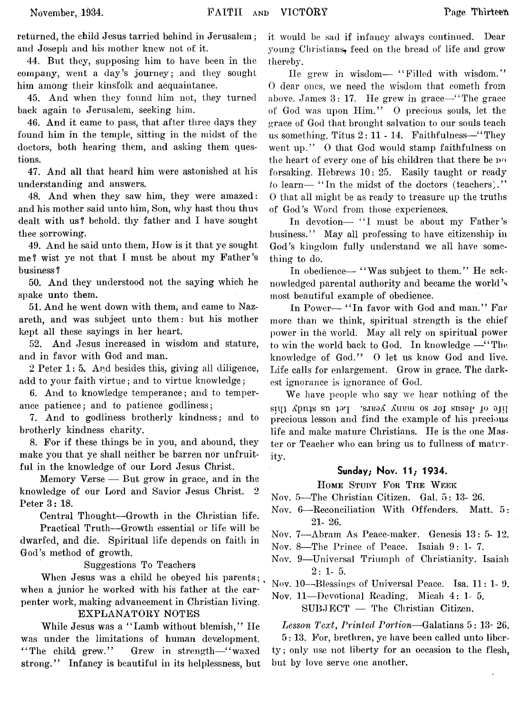returned, the child Jesus tarried behind in Jerusalem; and Joseph and his mother knew not of it.

44. But they, supposing him to have been in the company, went a day's journey; and they sought him among their kinsfolk and acquaintance.

45. And when they found him not, they turned back again to Jerusalem, seeking him.

46. And it came to pass, that after three days they found him in the temple, sitting in the midst of the doctors, both hearing them, and asking them questions.

47. And all that heard him were astonished at his understanding and answers.

48. And when they saw him, they were amazed: and his mother said unto him, Son, why hast thou thus dealt with us? behold, thy father and I have sought thee sorrowing.

49. And he said unto them, How is it that ye sought me? wist ye not that I must be about my Father's business ?

50. And they understood not the saying which he spake unto them.

51. And he went down with them, and came to Nazareth, and was subject unto them: but his mother kept all these sayings in her heart.

52. And Jesus increased in wisdom and stature, and in favor with God and man.

2 Peter 1: 5. And besides this, giving all diligence, add to your faith virtue; and to virtue knowledge;

6. And to knowledge temperance; and to temperance patience; and to patience godliness;

7. And to godliness brotherly kindness; and to brotherly kindness charity.

8. For if these things be in you, and abound, they make you that ye shall neither be barren nor unfruitful in the knowledge of our Lord Jesus Christ.

Memory Verse — But grow in grace, and in the knowledge of our Lord and Savior Jesus Christ. 2 Peter 3: 18.

Central Thought— Growth in the Christian life.

Practical Truth— Growth essential or life will be dwarfed, and die. Spiritual life depends on faith in God's method of growth.

Suggestions To Teachers

When Jesus was a child he obeyed his parents; when a junior he worked with his father at the carpenter work, making advancement in Christian living.

## EXPLANATORY NOTES

While Jesus was a "Lamb without blemish," He was under the limitations of human development. "The child grew." Grew in strength—"waxed strong." Infancy is beautiful in its helplessness, but

it would be sad if infancy always continued. Dear young Christians, feed on the bread of life and grow thereby.

He grew in wisdom— "Filled with wisdom." 0 dear ones, we need the wisdom that cometh from above. James 3: 17. He grew in grace— " The grace of God was upon Him." 0 precious souls, let the grace of God that brought salvation to our souls teach us something. Titus  $2: 11 - 14$ . Faithfulness—"They went up." O that God would stamp faithfulness on the heart of every one of his children that there be no forsaking. Hebrews 10: 25. Easily taught or ready *to* learn— "In the midst of the doctors (teachers)." 0 that all might be as ready to treasure up the truths of God's Word from those experiences.

In devotion— "I must be about my Father's business." May all professing to have citizenship in God's kingdom fully understand we all have something to do.

In obedience— "Was subject to them." He acknowledged parental authority and became the world's most beautiful example of obedience.

In Power— "In favor with God and man." Far more than we think, spiritual strength is the chief power in the world. May all rely on spiritual power to win the world back to God. In knowledge — "The knowledge of God." 0 let us know God and live. Life calls for enlargement. Grow in grace. The darkest ignorance is ignorance of God.

We have people who say we hear nothing of the sitil Xpnis sn par -sitea Xuetu os joj snsop 10 91H precious lesson and find the example of his precious life and make mature Christians. He is the one Master or Teacher who can bring us to fullness of maturity.

## **Sunday; Nov. 11; 1934.**

## HOME STUDY FOR THE WEEK

Nov. 5—The Christian Citizen. Gal. 5: 13- 26.

- Nov. 6— Reconciliation With Offenders. Matt, 5: 21- 26.
- Nov. 7— Abram As Peace-maker. Genesis 13: 5- 12.
- Nov. 8— The Prince of Peace. Isaiah 9:1-7.
- Nov. 9— Universal Triumph of Christianity. Isaiah  $2:1-5.$

Nov. 10—-Blessings of Universal Peace. Isa. 11: 1- 9.

Nov. 11— Devotional Reading. Micah 4: 1- 5. SUBJECT — The Christian Citizen.

*Lesson Text*, *Printed Portion—*Galatians 5: 13- 26. 5: 13. For, brethren, ye have been called unto liberty; only use not liberty for an occasion to the flesh, but by love serve one another.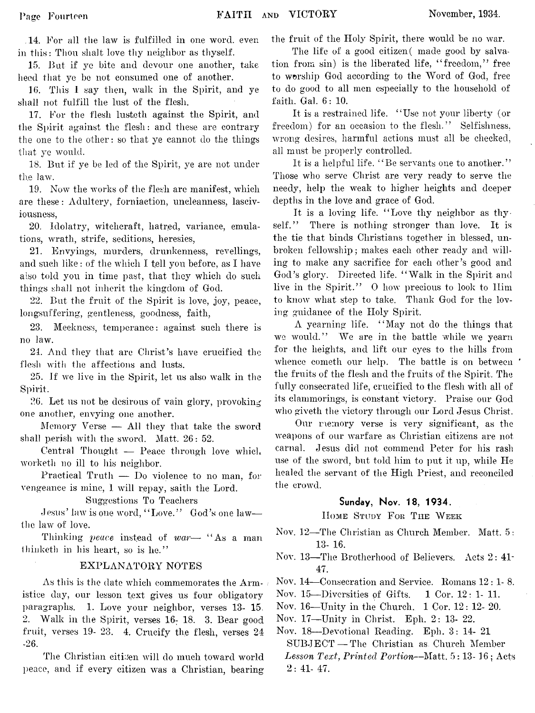,14. For all the law is fulfilled in one word, even in this: Thou shalt love thy neighbor as thyself.

15. But if ye bite and devour one another, take heed that ye be not consumed one of another.

16. This 1 say then, walk in the Spirit, and ye shall not fulfill the lust of the flesh.

17. For the flesh lusteth against the Spirit, and the Spirit against the flesh: and these are contrary the one to the other: so that ye cannot do the things that ye would.

18. But if ye be led of the Spirit, ye are not under the law.

19. Now the works of the flesh are manifest, which are these: Adultery, forniaction, uncleanness, lasciviousness,

20. Idolatry, witchcraft, hatred, variance, emulations, wrath, strife, seditions, heresies,

21. Envyings, murders, drunkenness, revellings, and such like: of the which I tell you before, as I have also told you in time past, that they which do such things shall not inherit the kingdom of God.

22. But the fruit of the Spirit is love, joy, peace, longsul'fering, gentleness, goodness, faith,

23. Meekness, temperance: against such there is no law.

24. And they that are Christ's have crucified the flesh with the affections and lusts.

25. If we live in the Spirit, let us also walk in the Spirit.

26. Let us not be desirous of vain glory, provoking one another, envying one another.

Memory Verse — All they that take the sword shall perish with the sword. Matt. 26: 52.

Central Thought — Peace through love which worketh no ill to his neighbor.

Practical Truth — Do violence to no man, for vengeance is mine, I will repay, saith the Lord.

Suggestions To Teachers

Jesus' law is one word, "Love." God's one law the law of love.

Thinking *peace* instead of *war*— "As a man thinketh in his heart, so is he."

## EXPLANATORY NOTES

As this is the date which commemorates the Armistice day, our lesson text gives us four obligatory paragraphs. 1. Love your neighbor, verses 13- 15. 2. Walk in the Spirit, verses 16: 18. 3. Bear good fruit, verses 19- 23. 4. Crucify the flesh, verses 24 -26.

The Christian citizen will do much toward world peace, and if every citizen was a Christian, bearing

the fruit of the Holy Spirit, there would be no war.

The life of a good citizen (made good by salvation from sin) is the liberated life, " freedom," free to worship God according to the Word of God, free to do good to all men especially to the household of faith. Gal. 6: 10.

It is a restrained life. " Use not your liberty (or freedom) for an occasion to the flesh." Selfishness, wrong desires, harmful actions must all be checked, all must be properly controlled.

It is a helpful life. "Be servants one to another." Those who serve Christ are very ready to serve the needy, help the weak to higher heights and deeper depths in the love and grace of God.

It is a loving life. "Love thy neighbor as thyself." There is nothing stronger than love. It is the tie that binds Christians together in blessed, unbroken fellowship; makes each other ready and willing to make any sacrifice for each other's good and God's glory. Directed life. " Walk in the Spirit and live in the Spirit." 0 how precious to look to Him to know what step to take. Thank God for the loving guidance of the Holy Spirit.

A yearning life. " May not do the things that we would." We are in the battle while we yearn for the heights, and lift our eyes to the hills from whence cometh our help. The battle is on between the fruits of the flesh and the fruits of the Spirit. The fully consecrated life, crucified to the flesh with all of its clammorings, is constant victory. Praise our God who giveth the victory through our Lord Jesus Christ.

Our memory verse is very significant, as the weapons of our warfare as Christian citizens are not carnal. Jesus did not commend Peter for his rash use of the sword, but told him to put it up, while He healed the servant of the High Priest, and reconciled the crowd.

## **Sunday, Nov. 18, 1934.**

HOME STUDY FOR THE WEEK

- Nov. 12— The Christian as Church Member. Matt. 5: 13- 16.
- Nov. 13— The Brotherhood of Believers. Acts 2: 41- 47.
- Nov. 14— Consecration and Service. Romans 12: 1- 8.
- Nov.  $15$ —Diversities of Gifts. 1 Cor.  $12: 1-11$ .
- Nov. 16—Unity in the Church. 1 Cor. 12: 12- 20.
- Nov. 17— Unity in Christ. Eph. 2: 13- 22.

Nov. 18— Devotional Reading. Eph. 3: 14- 21 SUBJECT — The Christian as Church Member *Lesson Text, Printed Portion*— Matt. 5:13-16; Acts  $2: 41-47.$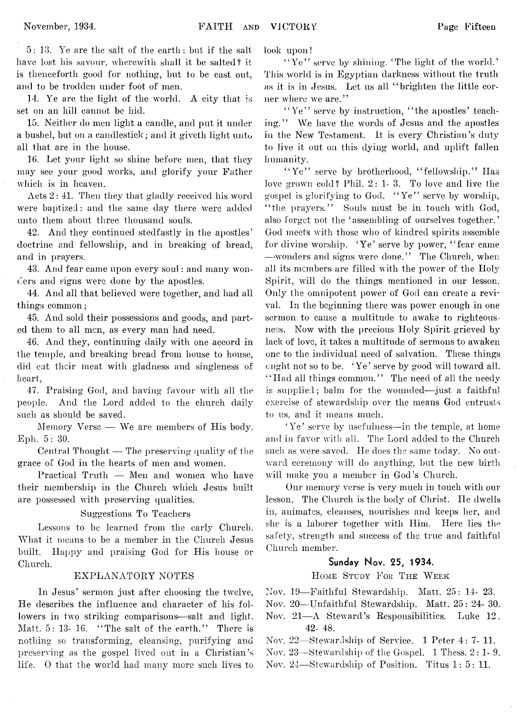5: 13. Ye are the salt of the earth: but if the salt have lost his savour, wherewith shall it be salted? it is thenceforth good for nothing, but to be cast out, and to be trodden under foot of men.

14. Ye are the light of the world. A city that is set on an hill cannot be hid.

15. Neither do men light a candle, and put it under a bushel, but on a candlestick; and it giveth light unto all that are in the house.

16. Let your light so shine before men, that they may see your good works, and glorify your Father which is in heaven.

Acts 2: 41. Then they that gladly received his word were baptized: and the same day there were added unto them about three thousand souls.

42. And they continued stedfastly in the apostles' doctrine and fellowship, and in breaking of bread, and in prayers.

43. And fear came upon every soul: and many wonders and signs were done by the apostles.

44. And all that believed were together, and had all things common;

45. And sold their possessions and goods, and parted them to all men, as every man had need.

46. And they, continuing daily with one accord in the temple, and breaking bread from house to house, did eat their meat with gladness and singleness of heart,

47. Praising God, and having favour with all the people. And the Lord added to the church daily such as should be saved.

Memory Verse — We are members of His body. Eph. 5: 30.

Central Thought — The preserving quality of the grace of God in the hearts of men and women.

Practical Truth — Men and women who have their membership in the Church which Jesus built are possessed with preserving qualities.

## Suggestions To Teachers

Lessons to be learned from the early Church. What it means to be a member in the Church Jesus built. Happy and praising God for His house or Church.

## EXPLANATORY NOTES

In Jesus' sermon just after choosing the twelve, He describes the influence and character of his followers in two striking comparisons— salt and light. Matt. 5: 13- 16. "The salt of the earth." There is nothing so transforming, cleansing, purifying and preserving as the gospel lived out in a Christian's life. 0 that the world had many more such lives to

look upon!

"Ye" serve by shining. 'The light of the world.' This world is in Egyptian darkness without the truth as it is in Jesus. Let us all " brighten the little corner where we are."

"Ye" serve by instruction, "the apostles' teaching." We have the words of Jesus and the apostles in the New Testament. It is every Christian's duty to live it out on this dying world, and uplift fallen humanity.

"Ye" serve by brotherhood, "fellowship." Has love grown cold? Phil. 2:1-3. To love and live the gospel is glorifying to God. " Ye" serve by worship, "the prayers." Souls must be in touch with God, also forget not the 'assembling of ourselves together.' God meets with those who of kindred spirits assemble for divine worship. 'Ye' serve by power, " fear came -wonders and signs were done." The Church, when all its members are filled with the power of the Holy Spirit, will do the things mentioned in our lesson. Only the omnipotent power of God can create a revival. In the beginning there was power enough in one sermon to cause a multitude to awake to righteousness. Now with the precious Holy Spirit grieved by lack of love, it takes a multitude of sermons to awaken one to the individual need of salvation. These things ought not so to be. 'Ye' serve by good will toward all. "Had all things common." The need of all the needy is supplied; balm for the wounded— just a faithful exercise of stewardship over the means God entrusts to us, and it means much.

'Ye' serve by usefulness— in the temple, at home and in favor with all. The Lord added to the Church such as were saved. He does the same today. No outward ceremony will do anything, but the new birth will make you a member in God's Church.

Our memory verse is very much in touch with our lesson. The Church is the body of Christ. He dwells in, animates, cleanses, nourishes and keeps her, and she is a laborer together with Him. Here lies the safety, strength and success of the true and faithful Church member.

## **Sunday Nov. 25, 1934.**

HOME STUDY FOR THE WEEK

Nov. 19— Faithful Stewardship. Matt. 25: 14- 23.

Nov. 20— Unfaithful Stewardship. Matt. 25: 24- 30.

- Nov. 21—A Steward's Responsibilities. Luke 12. 42- 48.
- Nov. 22— Stewardship of Service. 1 Peter 4: 7- 11.
- Nov. 23— Stewardship of the Gospel. 1 Thess. 2: 1- 9.
- Nov. 24—Stewardship of Position. Titus 1: 5: 11.